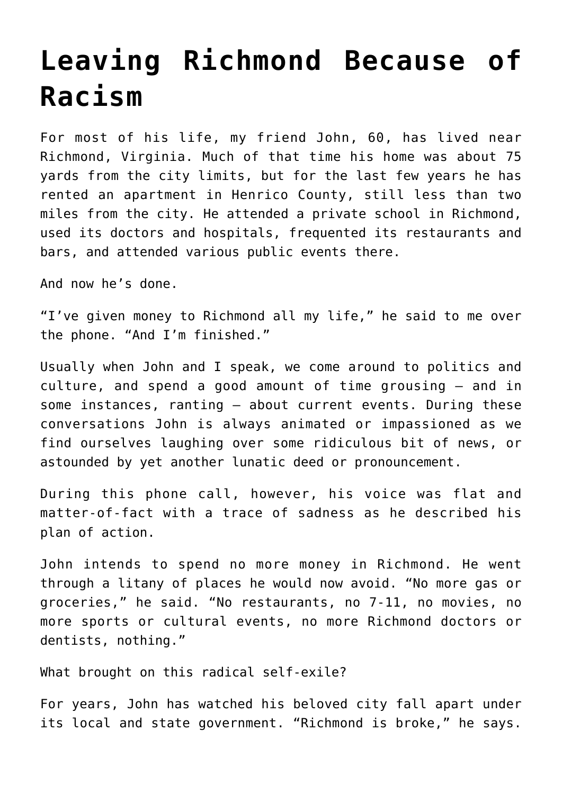## **[Leaving Richmond Because of](https://intellectualtakeout.org/2020/06/leaving-richmond-because-of-racism/) [Racism](https://intellectualtakeout.org/2020/06/leaving-richmond-because-of-racism/)**

For most of his life, my friend John, 60, has lived near Richmond, Virginia. Much of that time his home was about 75 yards from the city limits, but for the last few years he has rented an apartment in Henrico County, still less than two miles from the city. He attended a private school in Richmond, used its doctors and hospitals, frequented its restaurants and bars, and attended various public events there.

And now he's done.

"I've given money to Richmond all my life," he said to me over the phone. "And I'm finished."

Usually when John and I speak, we come around to politics and culture, and spend a good amount of time grousing – and in some instances, ranting – about current events. During these conversations John is always animated or impassioned as we find ourselves laughing over some ridiculous bit of news, or astounded by yet another lunatic deed or pronouncement.

During this phone call, however, his voice was flat and matter-of-fact with a trace of sadness as he described his plan of action.

John intends to spend no more money in Richmond. He went through a litany of places he would now avoid. "No more gas or groceries," he said. "No restaurants, no 7-11, no movies, no more sports or cultural events, no more Richmond doctors or dentists, nothing."

What brought on this radical self-exile?

For years, John has watched his beloved city fall apart under its local and state government. "Richmond is broke," he says.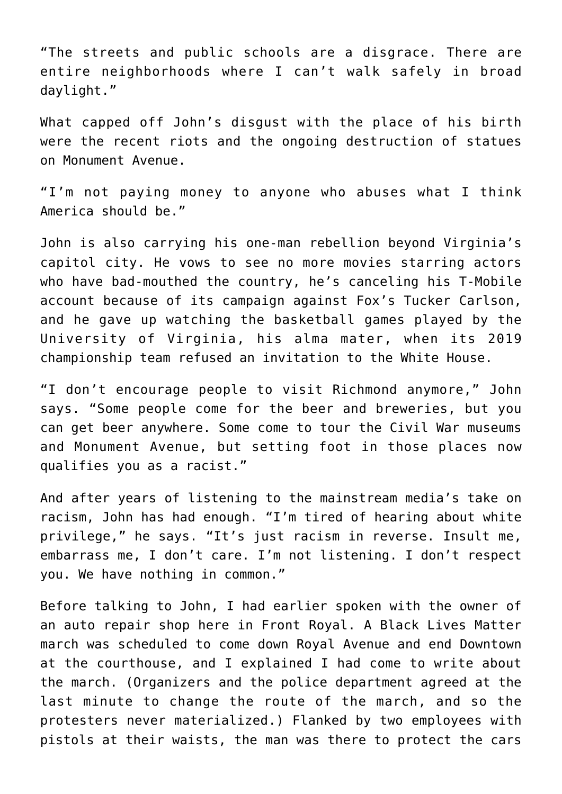"The streets and public schools are a disgrace. There are entire neighborhoods where I can't walk safely in broad daylight."

What capped off John's disgust with the place of his birth were the recent riots and the ongoing destruction of statues on Monument Avenue.

"I'm not paying money to anyone who abuses what I think America should be."

John is also carrying his one-man rebellion beyond Virginia's capitol city. He vows to see no more movies starring actors who have bad-mouthed the country, he's canceling his T-Mobile account because of its campaign against Fox's Tucker Carlson, and he gave up watching the basketball games played by the University of Virginia, his alma mater, when its 2019 championship team refused an invitation to the White House.

"I don't encourage people to visit Richmond anymore," John says. "Some people come for the beer and breweries, but you can get beer anywhere. Some come to tour the Civil War museums and Monument Avenue, but setting foot in those places now qualifies you as a racist."

And after years of listening to the mainstream media's take on racism, John has had enough. "I'm tired of hearing about white privilege," he says. "It's just racism in reverse. Insult me, embarrass me, I don't care. I'm not listening. I don't respect you. We have nothing in common."

Before talking to John, I had earlier spoken with the owner of an auto repair shop here in Front Royal. A Black Lives Matter march was scheduled to come down Royal Avenue and end Downtown at the courthouse, and I explained I had come to write about the march. (Organizers and the police department agreed at the last minute to change the route of the march, and so the protesters never materialized.) Flanked by two employees with pistols at their waists, the man was there to protect the cars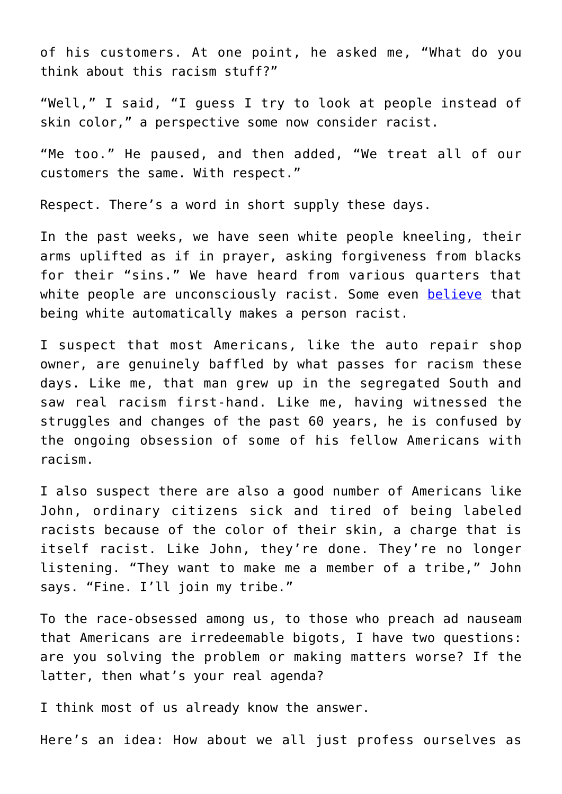of his customers. At one point, he asked me, "What do you think about this racism stuff?"

"Well," I said, "I guess I try to look at people instead of skin color," a perspective some now consider racist.

"Me too." He paused, and then added, "We treat all of our customers the same. With respect."

Respect. There's a word in short supply these days.

In the past weeks, we have seen white people kneeling, their arms uplifted as if in prayer, asking forgiveness from blacks for their "sins." We have heard from various quarters that white people are unconsciously racist. Some even [believe](https://www.cnn.com/2020/06/07/health/white-fragility-robin-diangelo-wellness/index.html) that being white automatically makes a person racist.

I suspect that most Americans, like the auto repair shop owner, are genuinely baffled by what passes for racism these days. Like me, that man grew up in the segregated South and saw real racism first-hand. Like me, having witnessed the struggles and changes of the past 60 years, he is confused by the ongoing obsession of some of his fellow Americans with racism.

I also suspect there are also a good number of Americans like John, ordinary citizens sick and tired of being labeled racists because of the color of their skin, a charge that is itself racist. Like John, they're done. They're no longer listening. "They want to make me a member of a tribe," John says. "Fine. I'll join my tribe."

To the race-obsessed among us, to those who preach ad nauseam that Americans are irredeemable bigots, I have two questions: are you solving the problem or making matters worse? If the latter, then what's your real agenda?

I think most of us already know the answer.

Here's an idea: How about we all just profess ourselves as